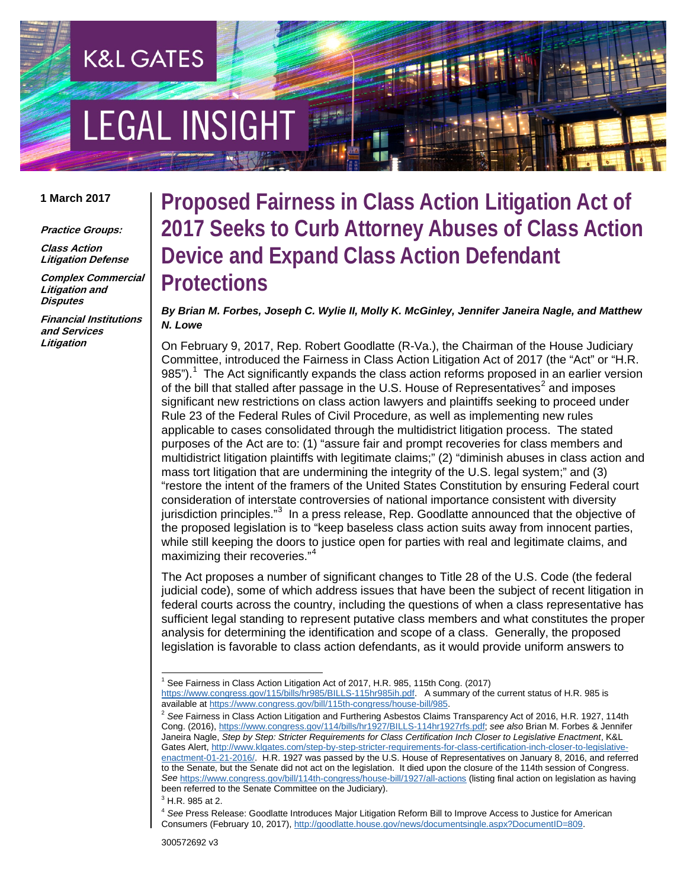# **EGAL INSIGHT**

**K&L GATES** 

#### **1 March 2017**

**Practice Groups:**

**Class Action Litigation Defense**

**Complex Commercial Litigation and Disputes**

**Financial Institutions and Services Litigation**

### **Proposed Fairness in Class Action Litigation Act of 2017 Seeks to Curb Attorney Abuses of Class Action Device and Expand Class Action Defendant Protections**

*By Brian M. Forbes, Joseph C. Wylie II, Molly K. McGinley, Jennifer Janeira Nagle, and Matthew N. Lowe*

On February 9, 2017, Rep. Robert Goodlatte (R-Va.), the Chairman of the House Judiciary Committee, introduced the Fairness in Class Action Litigation Act of 2017 (the "Act" or "H.R. 985"). $1$  The Act significantly expands the class action reforms proposed in an earlier version of the bill that stalled after passage in the U.S. House of Representatives<sup>[2](#page-0-1)</sup> and imposes significant new restrictions on class action lawyers and plaintiffs seeking to proceed under Rule 23 of the Federal Rules of Civil Procedure, as well as implementing new rules applicable to cases consolidated through the multidistrict litigation process. The stated purposes of the Act are to: (1) "assure fair and prompt recoveries for class members and multidistrict litigation plaintiffs with legitimate claims;" (2) "diminish abuses in class action and mass tort litigation that are undermining the integrity of the U.S. legal system;" and (3) "restore the intent of the framers of the United States Constitution by ensuring Federal court consideration of interstate controversies of national importance consistent with diversity jurisdiction principles."<sup>[3](#page-0-2)</sup> In a press release, Rep. Goodlatte announced that the objective of the proposed legislation is to "keep baseless class action suits away from innocent parties, while still keeping the doors to justice open for parties with real and legitimate claims, and maximizing their recoveries."<sup>[4](#page-0-3)</sup>

The Act proposes a number of significant changes to Title 28 of the U.S. Code (the federal judicial code), some of which address issues that have been the subject of recent litigation in federal courts across the country, including the questions of when a class representative has sufficient legal standing to represent putative class members and what constitutes the proper analysis for determining the identification and scope of a class. Generally, the proposed legislation is favorable to class action defendants, as it would provide uniform answers to

 <sup>1</sup> See Fairness in Class Action Litigation Act of 2017, H.R. 985, 115th Cong. (2017)

<span id="page-0-0"></span>[https://www.congress.gov/115/bills/hr985/BILLS-115hr985ih.pdf.](https://www.congress.gov/115/bills/hr985/BILLS-115hr985ih.pdf) A summary of the current status of H.R. 985 is available at https://www.congress.gov/bill/115th-congress/house-bill/985.

<span id="page-0-1"></span><sup>&</sup>lt;sup>2</sup> See Fairness in Class Action Litigation and Furthering Asbestos Claims Transparency Act of 2016, H.R. 1927, 114th Cong. (2016), [https://www.congress.gov/114/bills/hr1927/BILLS-114hr1927rfs.pdf;](https://www.congress.gov/114/bills/hr1927/BILLS-114hr1927rfs.pdf) *see also* Brian M. Forbes & Jennifer Janeira Nagle, *Step by Step: Stricter Requirements for Class Certification Inch Closer to Legislative Enactment*, K&L Gates Alert[, http://www.klgates.com/step-by-step-stricter-requirements-for-class-certification-inch-closer-to-legislative](http://www.klgates.com/step-by-step-stricter-requirements-for-class-certification-inch-closer-to-legislative-enactment-01-21-2016/)[enactment-01-21-2016/.](http://www.klgates.com/step-by-step-stricter-requirements-for-class-certification-inch-closer-to-legislative-enactment-01-21-2016/) H.R. 1927 was passed by the U.S. House of Representatives on January 8, 2016, and referred to the Senate, but the Senate did not act on the legislation. It died upon the closure of the 114th session of Congress. *See* <https://www.congress.gov/bill/114th-congress/house-bill/1927/all-actions> (listing final action on legislation as having been referred to the Senate Committee on the Judiciary).

 $3$  H.R. 985 at 2.

<span id="page-0-3"></span><span id="page-0-2"></span><sup>4</sup> *See* Press Release: Goodlatte Introduces Major Litigation Reform Bill to Improve Access to Justice for American Consumers (February 10, 2017)[, http://goodlatte.house.gov/news/documentsingle.aspx?DocumentID=809.](http://goodlatte.house.gov/news/documentsingle.aspx?DocumentID=809)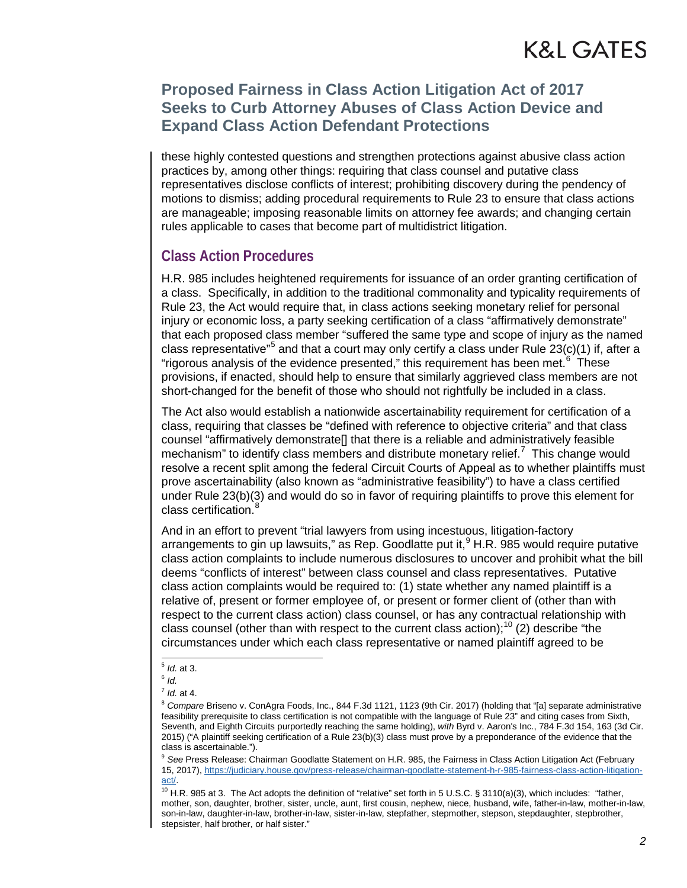### **Proposed Fairness in Class Action Litigation Act of 2017 Seeks to Curb Attorney Abuses of Class Action Device and Expand Class Action Defendant Protections**

these highly contested questions and strengthen protections against abusive class action practices by, among other things: requiring that class counsel and putative class representatives disclose conflicts of interest; prohibiting discovery during the pendency of motions to dismiss; adding procedural requirements to Rule 23 to ensure that class actions are manageable; imposing reasonable limits on attorney fee awards; and changing certain rules applicable to cases that become part of multidistrict litigation.

#### **Class Action Procedures**

H.R. 985 includes heightened requirements for issuance of an order granting certification of a class. Specifically, in addition to the traditional commonality and typicality requirements of Rule 23, the Act would require that, in class actions seeking monetary relief for personal injury or economic loss, a party seeking certification of a class "affirmatively demonstrate" that each proposed class member "suffered the same type and scope of injury as the named class representative"<sup>[5](#page-1-0)</sup> and that a court may only certify a class under Rule 23(c)(1) if, after a "rigorous analysis of the evidence presented," this requirement has been met.<sup>[6](#page-1-1)</sup> These provisions, if enacted, should help to ensure that similarly aggrieved class members are not short-changed for the benefit of those who should not rightfully be included in a class.

The Act also would establish a nationwide ascertainability requirement for certification of a class, requiring that classes be "defined with reference to objective criteria" and that class counsel "affirmatively demonstrate[] that there is a reliable and administratively feasible mechanism" to identify class members and distribute monetary relief.<sup>[7](#page-1-2)</sup> This change would resolve a recent split among the federal Circuit Courts of Appeal as to whether plaintiffs must prove ascertainability (also known as "administrative feasibility") to have a class certified under Rule 23(b)(3) and would do so in favor of requiring plaintiffs to prove this element for class certification.<sup>[8](#page-1-3)</sup>

And in an effort to prevent "trial lawyers from using incestuous, litigation-factory arrangements to gin up lawsuits," as Rep. Goodlatte put it,  $9 + R$  $9 + R$ . 985 would require putative class action complaints to include numerous disclosures to uncover and prohibit what the bill deems "conflicts of interest" between class counsel and class representatives. Putative class action complaints would be required to: (1) state whether any named plaintiff is a relative of, present or former employee of, or present or former client of (other than with respect to the current class action) class counsel, or has any contractual relationship with class counsel (other than with respect to the current class action);<sup>[10](#page-1-5)</sup> (2) describe "the circumstances under which each class representative or named plaintiff agreed to be

<span id="page-1-4"></span><sup>9</sup> *See* Press Release: Chairman Goodlatte Statement on H.R. 985, the Fairness in Class Action Litigation Act (February 15, 2017)[, https://judiciary.house.gov/press-release/chairman-goodlatte-statement-h-r-985-fairness-class-action-litigation](https://judiciary.house.gov/press-release/chairman-goodlatte-statement-h-r-985-fairness-class-action-litigation-act/)[act/.](https://judiciary.house.gov/press-release/chairman-goodlatte-statement-h-r-985-fairness-class-action-litigation-act/)

 <sup>5</sup> *Id.* at 3.

<span id="page-1-2"></span><span id="page-1-1"></span><span id="page-1-0"></span><sup>6</sup> *Id.*

<sup>7</sup> *Id.* at 4.

<span id="page-1-3"></span><sup>&</sup>lt;sup>8</sup> Compare Briseno v. ConAgra Foods, Inc., 844 F.3d 1121, 1123 (9th Cir. 2017) (holding that "[a] separate administrative feasibility prerequisite to class certification is not compatible with the language of Rule 23" and citing cases from Sixth, Seventh, and Eighth Circuits purportedly reaching the same holding), *with* Byrd v. Aaron's Inc., 784 F.3d 154, 163 (3d Cir. 2015) ("A plaintiff seeking certification of a Rule 23(b)(3) class must prove by a preponderance of the evidence that the class is ascertainable.").

<span id="page-1-5"></span> $10$  H.R. 985 at 3. The Act adopts the definition of "relative" set forth in 5 U.S.C. § 3110(a)(3), which includes: "father, mother, son, daughter, brother, sister, uncle, aunt, first cousin, nephew, niece, husband, wife, father-in-law, mother-in-law, son-in-law, daughter-in-law, brother-in-law, sister-in-law, stepfather, stepmother, stepson, stepdaughter, stepbrother, stepsister, half brother, or half sister."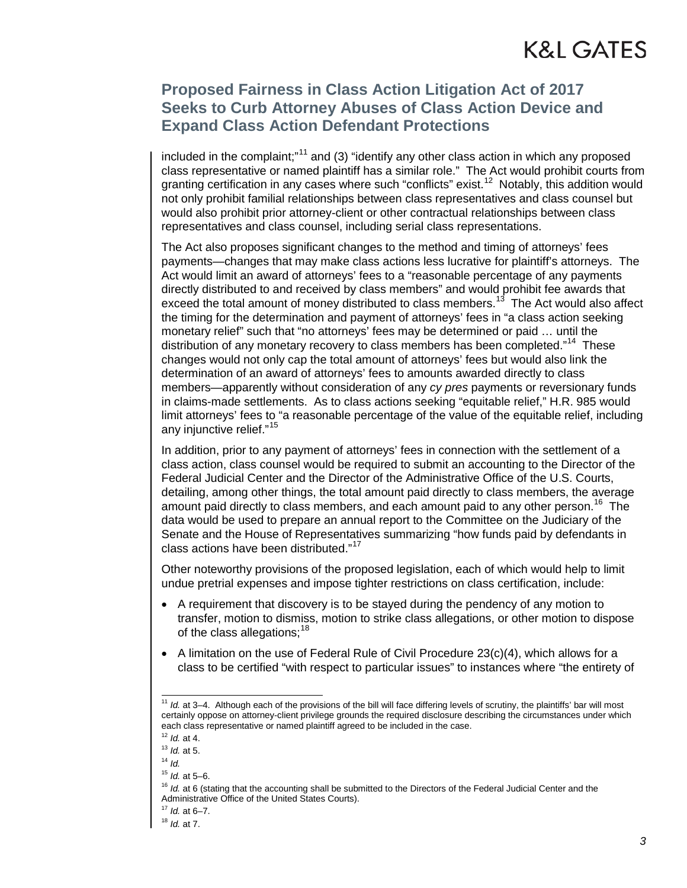### **Proposed Fairness in Class Action Litigation Act of 2017 Seeks to Curb Attorney Abuses of Class Action Device and Expand Class Action Defendant Protections**

included in the complaint;"<sup>[11](#page-2-0)</sup> and (3) "identify any other class action in which any proposed class representative or named plaintiff has a similar role." The Act would prohibit courts from granting certification in any cases where such "conflicts" exist.<sup>[12](#page-2-1)</sup> Notably, this addition would not only prohibit familial relationships between class representatives and class counsel but would also prohibit prior attorney-client or other contractual relationships between class representatives and class counsel, including serial class representations.

The Act also proposes significant changes to the method and timing of attorneys' fees payments—changes that may make class actions less lucrative for plaintiff's attorneys. The Act would limit an award of attorneys' fees to a "reasonable percentage of any payments directly distributed to and received by class members" and would prohibit fee awards that exceed the total amount of money distributed to class members.<sup>13</sup> The Act would also affect the timing for the determination and payment of attorneys' fees in "a class action seeking monetary relief" such that "no attorneys' fees may be determined or paid … until the distribution of any monetary recovery to class members has been completed."<sup>[14](#page-2-3)</sup> These changes would not only cap the total amount of attorneys' fees but would also link the determination of an award of attorneys' fees to amounts awarded directly to class members—apparently without consideration of any *cy pres* payments or reversionary funds in claims-made settlements. As to class actions seeking "equitable relief," H.R. 985 would limit attorneys' fees to "a reasonable percentage of the value of the equitable relief, including any injunctive relief."[15](#page-2-4)

In addition, prior to any payment of attorneys' fees in connection with the settlement of a class action, class counsel would be required to submit an accounting to the Director of the Federal Judicial Center and the Director of the Administrative Office of the U.S. Courts, detailing, among other things, the total amount paid directly to class members, the average amount paid directly to class members, and each amount paid to any other person.<sup>[16](#page-2-5)</sup> The data would be used to prepare an annual report to the Committee on the Judiciary of the Senate and the House of Representatives summarizing "how funds paid by defendants in class actions have been distributed."<sup>[17](#page-2-6)</sup>

Other noteworthy provisions of the proposed legislation, each of which would help to limit undue pretrial expenses and impose tighter restrictions on class certification, include:

- A requirement that discovery is to be stayed during the pendency of any motion to transfer, motion to dismiss, motion to strike class allegations, or other motion to dispose of the class allegations:  $18$
- A limitation on the use of Federal Rule of Civil Procedure  $23(c)(4)$ , which allows for a class to be certified "with respect to particular issues" to instances where "the entirety of

<span id="page-2-0"></span><sup>&</sup>lt;sup>11</sup> *Id.* at 3–4. Although each of the provisions of the bill will face differing levels of scrutiny, the plaintiffs' bar will most certainly oppose on attorney-client privilege grounds the required disclosure describing the circumstances under which each class representative or named plaintiff agreed to be included in the case.

<sup>12</sup> *Id.* at 4.

<span id="page-2-3"></span><span id="page-2-2"></span><span id="page-2-1"></span><sup>13</sup> *Id.* at 5.

<sup>14</sup> *Id.*

<span id="page-2-4"></span><sup>15</sup> *Id.* at 5–6.

<sup>&</sup>lt;sup>16</sup> *Id.* at 6 (stating that the accounting shall be submitted to the Directors of the Federal Judicial Center and the Administrative Office of the United States Courts).

<span id="page-2-6"></span><span id="page-2-5"></span><sup>17</sup> *Id.* at 6–7.

<span id="page-2-7"></span><sup>18</sup> *Id.* at 7.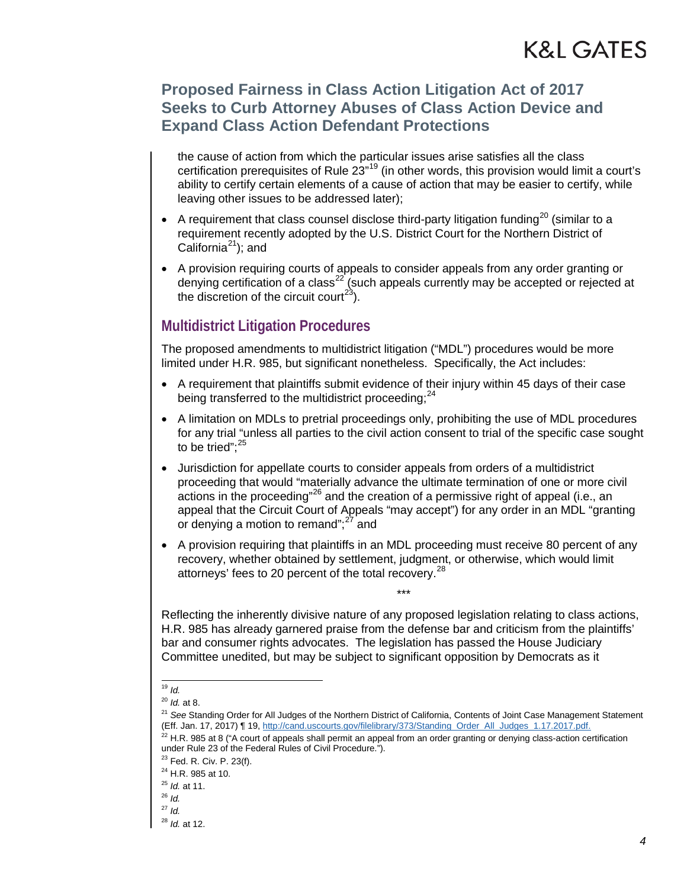### **Proposed Fairness in Class Action Litigation Act of 2017 Seeks to Curb Attorney Abuses of Class Action Device and Expand Class Action Defendant Protections**

the cause of action from which the particular issues arise satisfies all the class certification prerequisites of Rule 23"<sup>[19](#page-3-0)</sup> (in other words, this provision would limit a court's ability to certify certain elements of a cause of action that may be easier to certify, while leaving other issues to be addressed later);

- A requirement that class counsel disclose third-party litigation funding<sup>[20](#page-3-1)</sup> (similar to a requirement recently adopted by the U.S. District Court for the Northern District of California $^{21}$ ); and
- A provision requiring courts of appeals to consider appeals from any order granting or denying certification of a class<sup>[22](#page-3-3)</sup> (such appeals currently may be accepted or rejected at the discretion of the circuit court<sup>23</sup>).

#### **Multidistrict Litigation Procedures**

The proposed amendments to multidistrict litigation ("MDL") procedures would be more limited under H.R. 985, but significant nonetheless. Specifically, the Act includes:

- A requirement that plaintiffs submit evidence of their injury within 45 days of their case being transferred to the multidistrict proceeding; $^{24}$  $^{24}$  $^{24}$
- A limitation on MDLs to pretrial proceedings only, prohibiting the use of MDL procedures for any trial "unless all parties to the civil action consent to trial of the specific case sought to be tried": $25$
- Jurisdiction for appellate courts to consider appeals from orders of a multidistrict proceeding that would "materially advance the ultimate termination of one or more civil actions in the proceeding"[26](#page-3-7) and the creation of a permissive right of appeal (i.e., an appeal that the Circuit Court of Appeals "may accept") for any order in an MDL "granting or denying a motion to remand"; $27$  and
- A provision requiring that plaintiffs in an MDL proceeding must receive 80 percent of any recovery, whether obtained by settlement, judgment, or otherwise, which would limit attorneys' fees to 20 percent of the total recovery.<sup>[28](#page-3-9)</sup>

\*\*\*

Reflecting the inherently divisive nature of any proposed legislation relating to class actions, H.R. 985 has already garnered praise from the defense bar and criticism from the plaintiffs' bar and consumer rights advocates. The legislation has passed the House Judiciary Committee unedited, but may be subject to significant opposition by Democrats as it

 <sup>19</sup> *Id.*

<sup>20</sup> *Id.* at 8.

<span id="page-3-3"></span><span id="page-3-2"></span><span id="page-3-1"></span><span id="page-3-0"></span><sup>21</sup> *See* Standing Order for All Judges of the Northern District of California, Contents of Joint Case Management Statement (Eff. Jan. 17, 2017) ¶ 19[, http://cand.uscourts.gov/filelibrary/373/Standing\\_Order\\_All\\_Judges\\_1.17.2017.pdf.](http://cand.uscourts.gov/filelibrary/373/Standing_Order_All_Judges_1.17.2017.pdf)

 $22$  H.R. 985 at 8 ("A court of appeals shall permit an appeal from an order granting or denying class-action certification under Rule 23 of the Federal Rules of Civil Procedure.").

 $23$  Fed. R. Civ. P. 23(f).

<span id="page-3-5"></span><span id="page-3-4"></span><sup>&</sup>lt;sup>24</sup> H.R. 985 at 10.

<span id="page-3-6"></span><sup>25</sup> *Id.* at 11.

<sup>26</sup> *Id.*

<span id="page-3-9"></span><span id="page-3-8"></span><span id="page-3-7"></span><sup>27</sup> *Id.*

<sup>28</sup> *Id.* at 12.